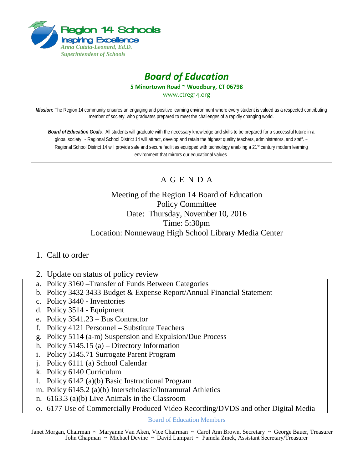

## *Board of Education* **5 Minortown Road ~ Woodbury, CT 06798** [www.ctreg14.org](http://www.ctreg14.org/)

*Mission:* The Region 14 community ensures an engaging and positive learning environment where every student is valued as a respected contributing member of society, who graduates prepared to meet the challenges of a rapidly changing world.

*Board of Education Goals:* All students will graduate with the necessary knowledge and skills to be prepared for a successful future in a global society. ~ Regional School District 14 will attract, develop and retain the highest quality teachers, administrators, and staff. ~ Regional School District 14 will provide safe and secure facilities equipped with technology enabling a 21<sup>st</sup> century modern learning environment that mirrors our educational values.

## A G E N D A

## Meeting of the Region 14 Board of Education Policy Committee Date: Thursday, November 10, 2016 Time: 5:30pm Location: Nonnewaug High School Library Media Center

- 1. Call to order
- 2. Update on status of policy review
- a. Policy 3160 –Transfer of Funds Between Categories
- b. Policy 3432 3433 Budget & Expense Report/Annual Financial Statement
- c. Policy 3440 Inventories
- d. Policy 3514 Equipment
- e. Policy 3541.23 Bus Contractor
- f. Policy 4121 Personnel Substitute Teachers
- g. Policy 5114 (a-m) Suspension and Expulsion/Due Process
- h. Policy 5145.15 (a) Directory Information
- i. Policy 5145.71 Surrogate Parent Program
- j. Policy 6111 (a) School Calendar
- k. Policy 6140 Curriculum
- l. Policy 6142 (a)(b) Basic Instructional Program
- m. Policy 6145.2 (a)(b) Interscholastic/Intramural Athletics
- n. 6163.3 (a)(b) Live Animals in the Classroom
- o. 6177 Use of Commercially Produced Video Recording/DVDS and other Digital Media

Board of Education Members